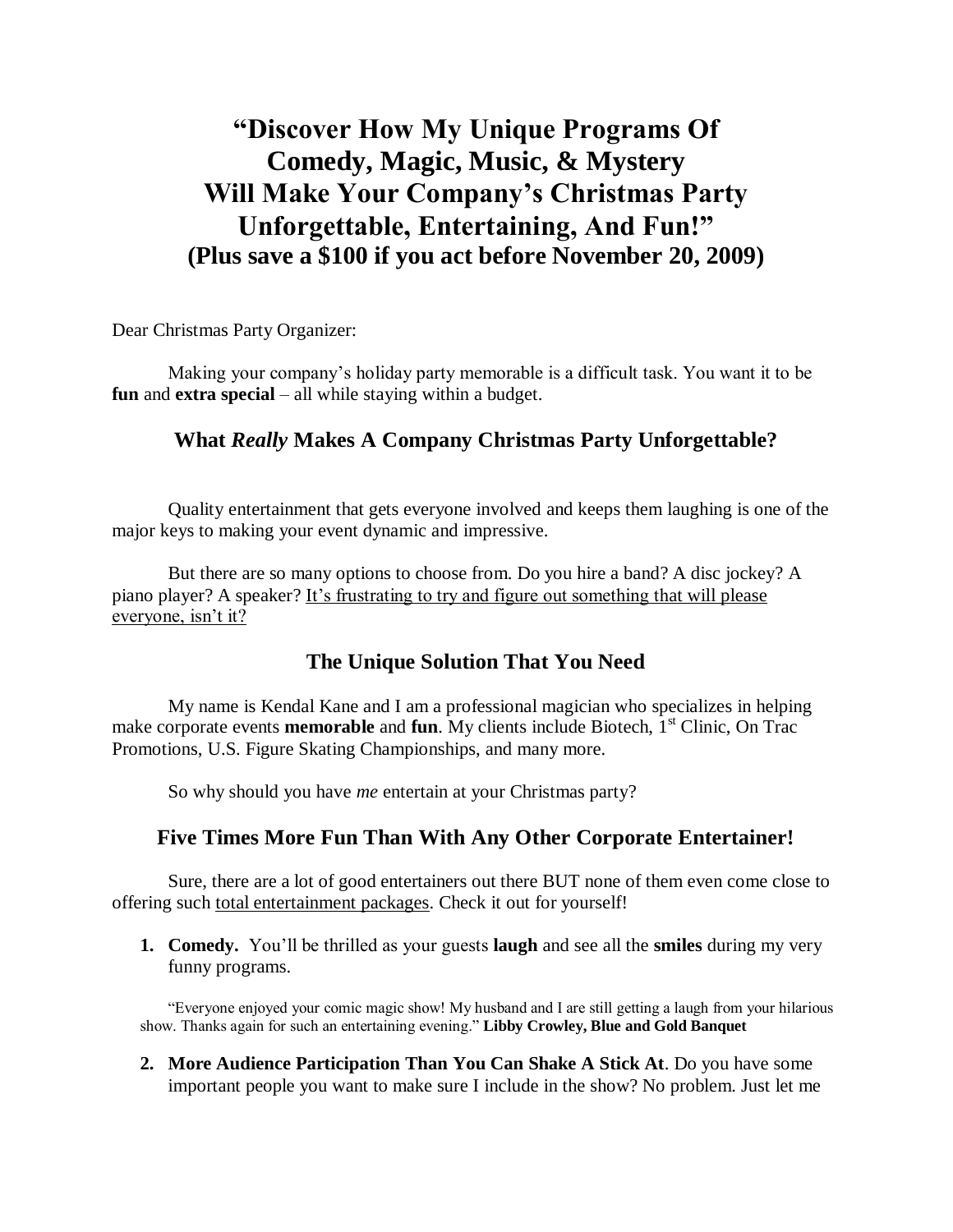# **"Discover How My Unique Programs Of Comedy, Magic, Music, & Mystery Will Make Your Company's Christmas Party Unforgettable, Entertaining, And Fun!" (Plus save a \$100 if you act before November 20, 2009)**

Dear Christmas Party Organizer:

Making your company's holiday party memorable is a difficult task. You want it to be **fun** and **extra special** – all while staying within a budget.

### **What** *Really* **Makes A Company Christmas Party Unforgettable?**

Quality entertainment that gets everyone involved and keeps them laughing is one of the major keys to making your event dynamic and impressive.

But there are so many options to choose from. Do you hire a band? A disc jockey? A piano player? A speaker? It's frustrating to try and figure out something that will please everyone, isn't it?

## **The Unique Solution That You Need**

My name is Kendal Kane and I am a professional magician who specializes in helping make corporate events **memorable** and **fun**. My clients include Biotech, 1<sup>st</sup> Clinic, On Trac Promotions, U.S. Figure Skating Championships, and many more.

So why should you have *me* entertain at your Christmas party?

### **Five Times More Fun Than With Any Other Corporate Entertainer!**

Sure, there are a lot of good entertainers out there BUT none of them even come close to offering such total entertainment packages. Check it out for yourself!

**1. Comedy.** You'll be thrilled as your guests **laugh** and see all the **smiles** during my very funny programs.

"Everyone enjoyed your comic magic show! My husband and I are still getting a laugh from your hilarious show. Thanks again for such an entertaining evening." **Libby Crowley, Blue and Gold Banquet**

**2. More Audience Participation Than You Can Shake A Stick At**. Do you have some important people you want to make sure I include in the show? No problem. Just let me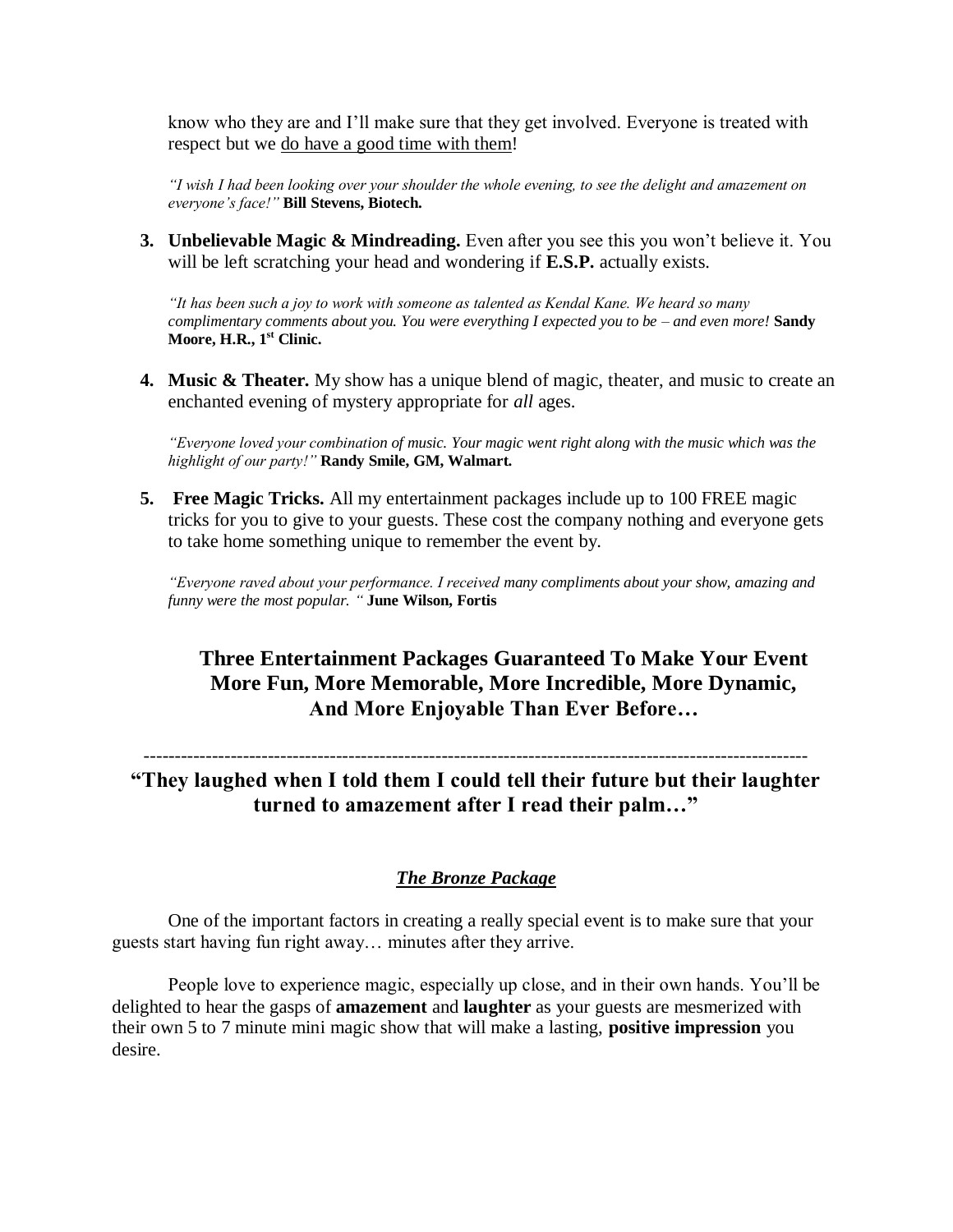know who they are and I'll make sure that they get involved. Everyone is treated with respect but we do have a good time with them!

*"I wish I had been looking over your shoulder the whole evening, to see the delight and amazement on everyone's face!"* **Bill Stevens, Biotech.**

**3. Unbelievable Magic & Mindreading.** Even after you see this you won't believe it. You will be left scratching your head and wondering if **E.S.P.** actually exists.

*"It has been such a joy to work with someone as talented as Kendal Kane. We heard so many complimentary comments about you. You were everything I expected you to be – and even more!* **Sandy Moore, H.R., 1st Clinic.**

**4. Music & Theater.** My show has a unique blend of magic, theater, and music to create an enchanted evening of mystery appropriate for *all* ages.

*"Everyone loved your combination of music. Your magic went right along with the music which was the highlight of our party!"* **Randy Smile, GM, Walmart.**

**5. Free Magic Tricks.** All my entertainment packages include up to 100 FREE magic tricks for you to give to your guests. These cost the company nothing and everyone gets to take home something unique to remember the event by.

*"Everyone raved about your performance. I received many compliments about your show, amazing and funny were the most popular. "* **June Wilson, Fortis**

## **Three Entertainment Packages Guaranteed To Make Your Event More Fun, More Memorable, More Incredible, More Dynamic, And More Enjoyable Than Ever Before…**

-----------------------------------------------------------------------------------------------------------

**"They laughed when I told them I could tell their future but their laughter turned to amazement after I read their palm…"**

#### *The Bronze Package*

One of the important factors in creating a really special event is to make sure that your guests start having fun right away… minutes after they arrive.

People love to experience magic, especially up close, and in their own hands. You'll be delighted to hear the gasps of **amazement** and **laughter** as your guests are mesmerized with their own 5 to 7 minute mini magic show that will make a lasting, **positive impression** you desire.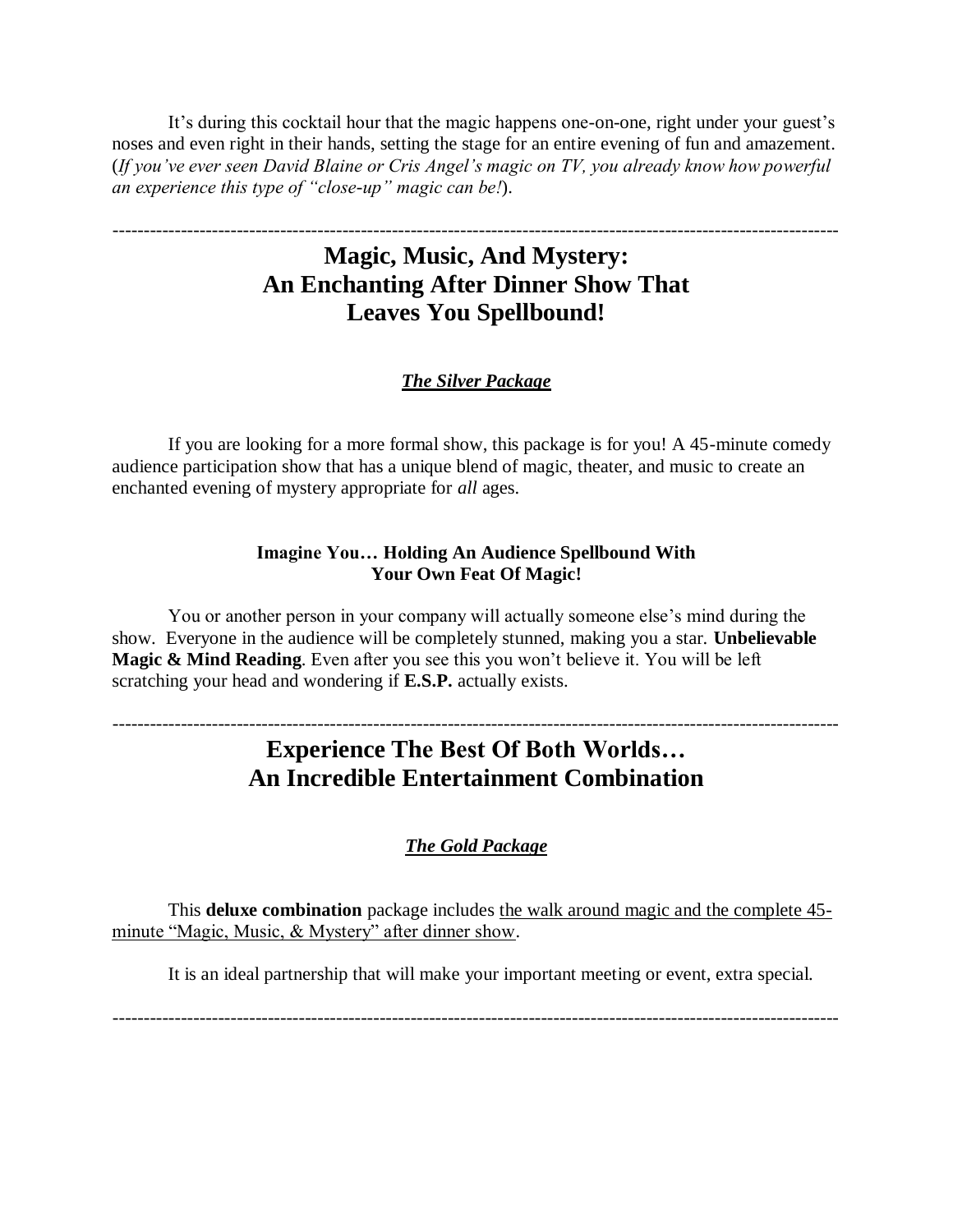It's during this cocktail hour that the magic happens one-on-one, right under your guest's noses and even right in their hands, setting the stage for an entire evening of fun and amazement. (*If you've ever seen David Blaine or Cris Angel's magic on TV, you already know how powerful an experience this type of "close-up" magic can be!*).

## **Magic, Music, And Mystery: An Enchanting After Dinner Show That Leaves You Spellbound!**

---------------------------------------------------------------------------------------------------------------------

#### *The Silver Package*

If you are looking for a more formal show, this package is for you! A 45-minute comedy audience participation show that has a unique blend of magic, theater, and music to create an enchanted evening of mystery appropriate for *all* ages.

#### **Imagine You… Holding An Audience Spellbound With Your Own Feat Of Magic!**

You or another person in your company will actually someone else's mind during the show. Everyone in the audience will be completely stunned, making you a star. **Unbelievable Magic & Mind Reading**. Even after you see this you won't believe it. You will be left scratching your head and wondering if **E.S.P.** actually exists.

## **Experience The Best Of Both Worlds… An Incredible Entertainment Combination**

---------------------------------------------------------------------------------------------------------------------

#### *The Gold Package*

This **deluxe combination** package includes the walk around magic and the complete 45 minute "Magic, Music, & Mystery" after dinner show.

It is an ideal partnership that will make your important meeting or event, extra special.

---------------------------------------------------------------------------------------------------------------------